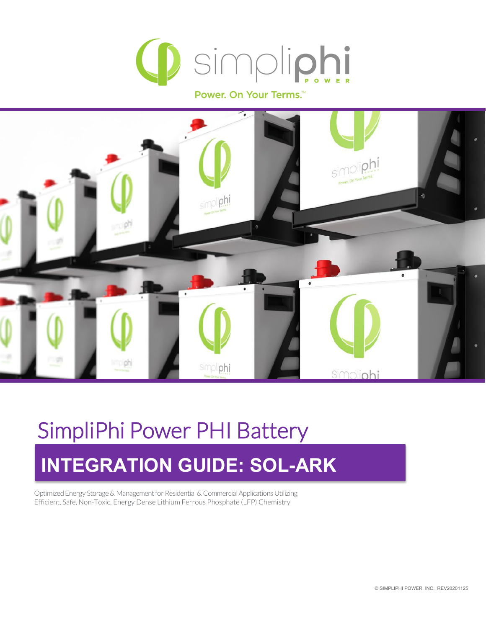

Power. On Your Terms.<sup>™</sup>



# SimpliPhi Power PHI Battery **INTEGRATION GUIDE: SOL-ARK**

Optimized Energy Storage & Management for Residential & Commercial Applications Utilizing Efficient, Safe, Non-Toxic, Energy Dense Lithium Ferrous Phosphate (LFP) Chemistry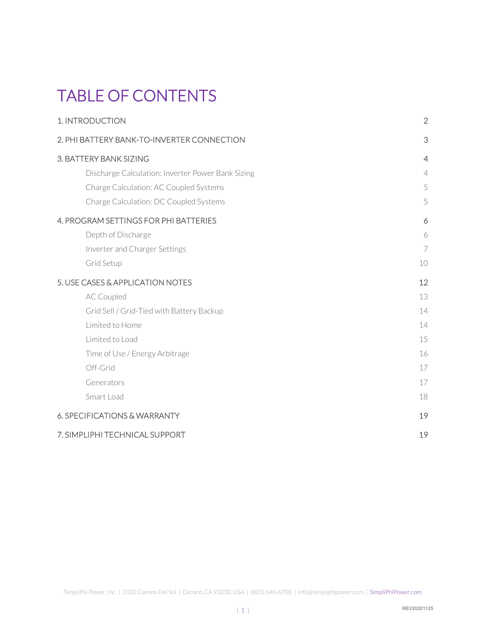## TABLE OF CONTENTS

| 1. INTRODUCTION                                   | $\overline{2}$ |
|---------------------------------------------------|----------------|
| 2. PHI BATTERY BANK-TO-INVERTER CONNECTION        | 3              |
| 3. BATTERY BANK SIZING                            | $\overline{4}$ |
| Discharge Calculation: Inverter Power Bank Sizing | $\overline{4}$ |
| Charge Calculation: AC Coupled Systems            | 5              |
| Charge Calculation: DC Coupled Systems            | 5              |
| 4. PROGRAM SETTINGS FOR PHI BATTERIES             | 6              |
| Depth of Discharge                                | 6              |
| Inverter and Charger Settings                     | $\overline{7}$ |
| Grid Setup                                        | 10             |
| 5. USE CASES & APPLICATION NOTES                  | 12             |
| <b>AC Coupled</b>                                 | 13             |
| Grid Sell / Grid-Tied with Battery Backup         | 14             |
| Limited to Home                                   | 14             |
| Limited to Load                                   | 15             |
| Time of Use / Energy Arbitrage                    | 16             |
| Off-Grid                                          | 17             |
| Generators                                        | 17             |
| Smart Load                                        | 18             |
| 6. SPECIFICATIONS & WARRANTY                      | 19             |
| 7. SIMPLIPHI TECHNICAL SUPPORT                    | 19             |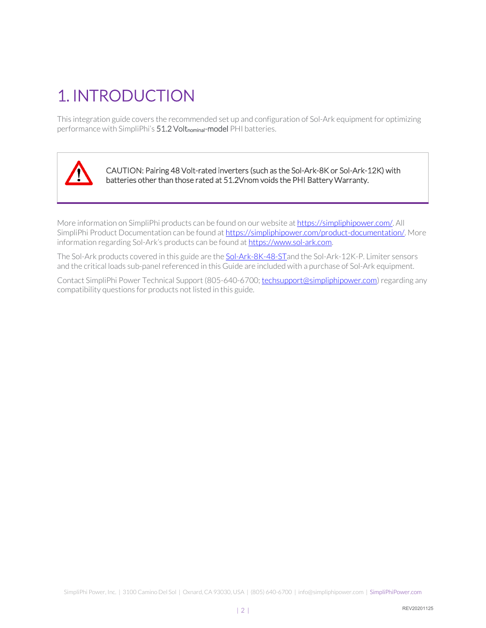## <span id="page-2-0"></span>1. INTRODUCTION

This integration guide covers the recommended set up and configuration of Sol-Ark equipment for optimizing performance with SimpliPhi's 51.2 Voltnominal-model PHI batteries.



CAUTION: Pairing 48 Volt-rated inverters (such as the Sol-Ark-8K or Sol-Ark-12K) with batteries other than those rated at 51.2Vnom voids the PHI Battery Warranty.

More information on SimpliPhi products can be found on our website a[t https://simpliphipower.com/.](https://simpliphipower.com/) All SimpliPhi Product Documentation can be found a[t https://simpliphipower.com/product-documentation/.](https://simpliphipower.com/product-documentation/) More information regarding Sol-Ark's products can be found a[t https://www.sol-ark.com.](https://www.sol-ark.com/)

The Sol-Ark products covered in this guide are the [Sol-Ark-8K-48-STa](https://www.sol-ark.com/8k-product-page/)nd the Sol-Ark-12K-P. Limiter sensors and the critical loads sub-panel referenced in this Guide are included with a purchase of Sol-Ark equipment.

Contact SimpliPhi Power Technical Support (805-640-6700; [techsupport@simpliphipower.com\)](mailto:techsupport@simpliphipower.com) regarding any compatibility questions for products not listed in this guide.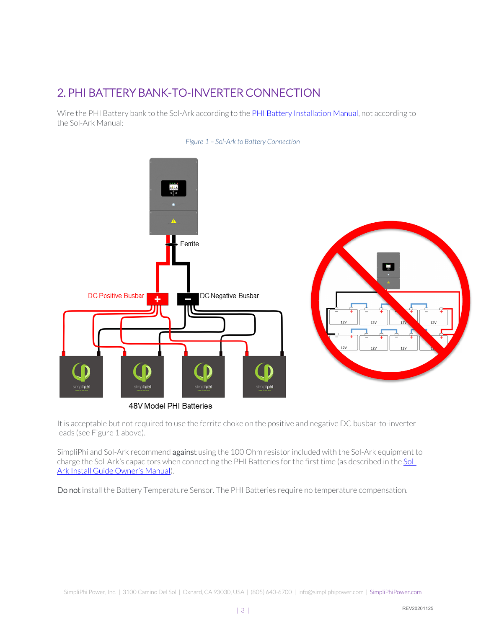## <span id="page-3-0"></span>2. PHI BATTERY BANK-TO-INVERTER CONNECTION

Wire the PHI Battery bank to the Sol-Ark according to the **PHI Battery Installation Manual**, not according to the Sol-Ark Manual:





48V Model PHI Batteries

It is acceptable but not required to use the ferrite choke on the positive and negative DC busbar-to-inverter leads (see Figure 1 above).

SimpliPhi and Sol-Ark recommend against using the 100 Ohm resistor included with the Sol-Ark equipment to charge the Sol-Ark's capacitors when connecting the PHI Batteries for the first time (as described in th[e Sol-](https://www.sol-ark.com/wp-content/uploads/2018/12/8K-install-owner-Manual-12-15-2018-2.pdf)[Ark Install Guide Owner's Manual\)](https://www.sol-ark.com/wp-content/uploads/2018/12/8K-install-owner-Manual-12-15-2018-2.pdf).

Do not install the Battery Temperature Sensor. The PHI Batteries require no temperature compensation.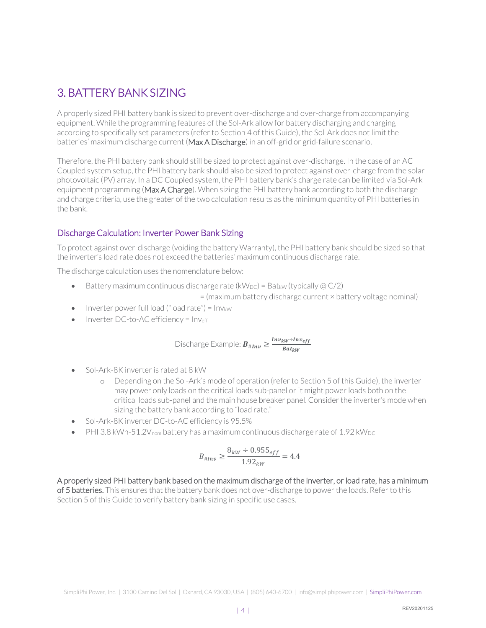## <span id="page-4-0"></span>3. BATTERY BANK SIZING

A properly sized PHI battery bank is sized to prevent over-discharge and over-charge from accompanying equipment. While the programming features of the Sol-Ark allow for battery discharging and charging according to specifically set parameters (refer to Section 4 of this Guide), the Sol-Ark does not limit the batteries' maximum discharge current (Max A Discharge) in an off-grid or grid-failure scenario.

Therefore, the PHI battery bank should still be sized to protect against over-discharge. In the case of an AC Coupled system setup, the PHI battery bank should also be sized to protect against over-charge from the solar photovoltaic (PV) array. In a DC Coupled system, the PHI battery bank's charge rate can be limited via Sol-Ark equipment programming (Max A Charge). When sizing the PHI battery bank according to both the discharge and charge criteria, use the greater of the two calculation results as the minimum quantity of PHI batteries in the bank.

#### <span id="page-4-1"></span>Discharge Calculation: Inverter Power Bank Sizing

To protect against over-discharge (voiding the battery Warranty), the PHI battery bank should be sized so that the inverter's load rate does not exceed the batteries' maximum continuous discharge rate.

The discharge calculation uses the nomenclature below:

• Battery maximum continuous discharge rate ( $kW_{DC}$ ) = Bat<sub>kW</sub> (typically  $\omega$  C/2)

= (maximum battery discharge current × battery voltage nominal)

- Inverter power full load ("load rate") =  $Inv_{kW}$
- Inverter DC-to-AC efficiency = Invert

$$
\text{Discharge Example: } \boldsymbol{B}_{\# Inv} \geq \frac{Inv_{kW} + Inv_{eff}}{Bat_{kW}}
$$

- Sol-Ark-8K inverter is rated at 8 kW
	- o Depending on the Sol-Ark's mode of operation (refer to Section 5 of this Guide), the inverter may power only loads on the critical loads sub-panel or it might power loads both on the critical loads sub-panel and the main house breaker panel. Consider the inverter's mode when sizing the battery bank according to "load rate."
- Sol-Ark-8K inverter DC-to-AC efficiency is 95.5%
- PHI 3.8 kWh-51.2 $V_{\text{nom}}$  battery has a maximum continuous discharge rate of 1.92 kW<sub>DC</sub>

$$
B_{\#Inv} \ge \frac{8_{kw} \div 0.955_{eff}}{1.92_{kw}} = 4.4
$$

A properly sized PHI battery bank based on the maximum discharge of the inverter, or load rate, has a minimum of 5 batteries. This ensures that the battery bank does not over-discharge to power the loads. Refer to this Section 5 of this Guide to verify battery bank sizing in specific use cases.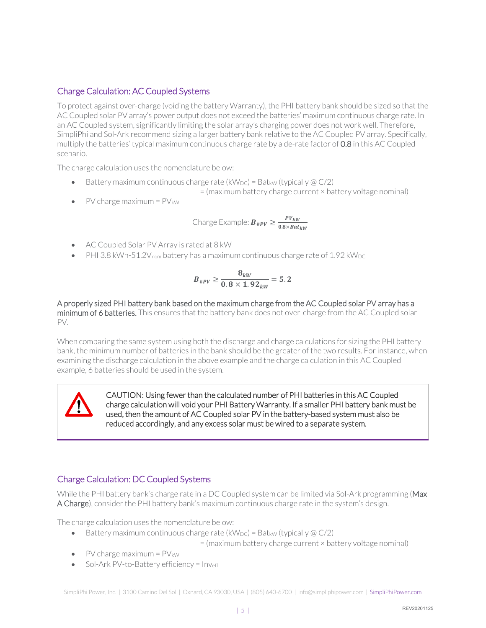#### <span id="page-5-0"></span>Charge Calculation: AC Coupled Systems

To protect against over-charge (voiding the battery Warranty), the PHI battery bank should be sized so that the AC Coupled solar PV array's power output does not exceed the batteries' maximum continuous charge rate. In an AC Coupled system, significantly limiting the solar array's charging power does not work well. Therefore, SimpliPhi and Sol-Ark recommend sizing a larger battery bank relative to the AC Coupled PV array. Specifically, multiply the batteries' typical maximum continuous charge rate by a de-rate factor of 0.8 in this AC Coupled scenario.

The charge calculation uses the nomenclature below:

• Battery maximum continuous charge rate (kW<sub>DC</sub>) = Bat<sub>kW</sub> (typically  $@C/2$ )

 $=$  (maximum battery charge current  $\times$  battery voltage nominal)

• PV charge maximum =  $PV_{kW}$ 

$$
\text{Change Example: } \boldsymbol{B}_{\# \boldsymbol{p} \boldsymbol{V}} \geq \frac{\boldsymbol{p} \boldsymbol{V}_{k \boldsymbol{W}}}{0.8 \times \boldsymbol{B} \boldsymbol{\alpha} t_{k \boldsymbol{W}}}
$$

- AC Coupled Solar PV Array is rated at 8 kW
- PHI 3.8 kWh-51.2 $V_{\text{nom}}$  battery has a maximum continuous charge rate of 1.92 kW<sub>DC</sub>

$$
B_{\#PV} \ge \frac{8_{kW}}{0.8 \times 1.92_{kW}} = 5.2
$$

A properly sized PHI battery bank based on the maximum charge from the AC Coupled solar PV array has a minimum of 6 batteries. This ensures that the battery bank does not over-charge from the AC Coupled solar PV.

When comparing the same system using both the discharge and charge calculations for sizing the PHI battery bank, the minimum number of batteries in the bank should be the greater of the two results. For instance, when examining the discharge calculation in the above example and the charge calculation in this AC Coupled example, 6 batteries should be used in the system.

CAUTION: Using fewer than the calculated number of PHI batteries in this AC Coupled charge calculation will void your PHI Battery Warranty. If a smaller PHI battery bank must be used, then the amount of AC Coupled solar PV in the battery-based system must also be reduced accordingly, and any excess solar must be wired to a separate system.

#### <span id="page-5-1"></span>Charge Calculation: DC Coupled Systems

While the PHI battery bank's charge rate in a DC Coupled system can be limited via Sol-Ark programming (Max A Charge), consider the PHI battery bank's maximum continuous charge rate in the system's design.

The charge calculation uses the nomenclature below:

• Battery maximum continuous charge rate (kW<sub>DC</sub>) = Bat<sub>kW</sub> (typically  $@C/2$ )

= (maximum battery charge current × battery voltage nominal)

- PV charge maximum =  $PV_{kW}$
- Sol-Ark PV-to-Battery efficiency = Inver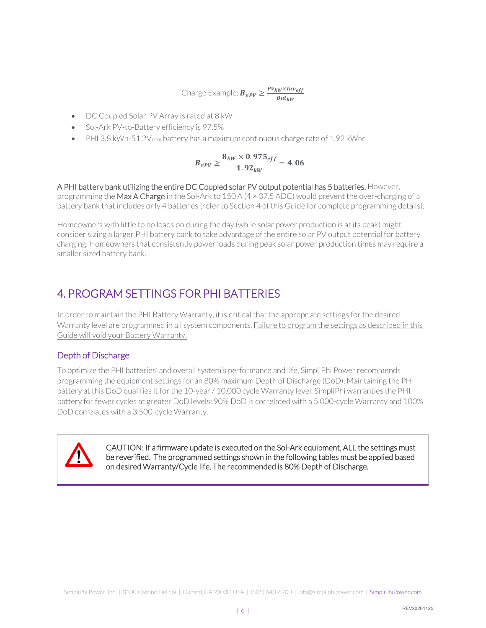Charge Example:  $B_{\#PV} \geq \frac{PV_{kW} \times Inv_{eff}}{Bat_{LW}}$ Bat<sub>kW</sub>

- DC Coupled Solar PV Array is rated at 8 kW
- Sol-Ark PV-to-Battery efficiency is 97.5%
- PHI 3.8 kWh-51.2 $V_{\text{nom}}$  battery has a maximum continuous charge rate of 1.92 kW<sub>DC</sub>

$$
B_{\#PV} \geq \frac{8_{kW} \times 0.975_{eff}}{1.92_{kW}} = 4.06
$$

A PHI battery bank utilizing the entire DC Coupled solar PV output potential has 5 batteries. However, programming the Max A Charge in the Sol-Ark to 150 A (4 × 37.5 ADC) would prevent the over-charging of a battery bank that includes only 4 batteries (refer to Section 4 of this Guide for complete programming details).

Homeowners with little to no loads on during the day (while solar power production is at its peak) might consider sizing a larger PHI battery bank to take advantage of the entire solar PV output potential for battery charging. Homeowners that consistently power loads during peak solar power production times may require a smaller sized battery bank.

### <span id="page-6-0"></span>4. PROGRAM SETTINGS FOR PHI BATTERIES

In order to maintain the PHI Battery Warranty, it is critical that the appropriate settings for the desired Warranty level are programmed in all system components. Failure to program the settings as described in this Guide will void your Battery Warranty.

#### <span id="page-6-1"></span>Depth of Discharge

To optimize the PHI batteries' and overall system's performance and life, SimpliPhi Power recommends programming the equipment settings for an 80% maximum Depth of Discharge (DoD). Maintaining the PHI battery at this DoD qualifies it for the 10-year / 10,000 cycle Warranty level. SimpliPhi warranties the PHI battery for fewer cycles at greater DoD levels: 90% DoD is correlated with a 5,000-cycle Warranty and 100% DoD correlates with a 3,500-cycle Warranty.



CAUTION: If a firmware update is executed on the Sol-Ark equipment, ALL the settings must be reverified. The programmed settings shown in the following tables must be applied based on desired Warranty/Cycle life. The recommended is 80% Depth of Discharge.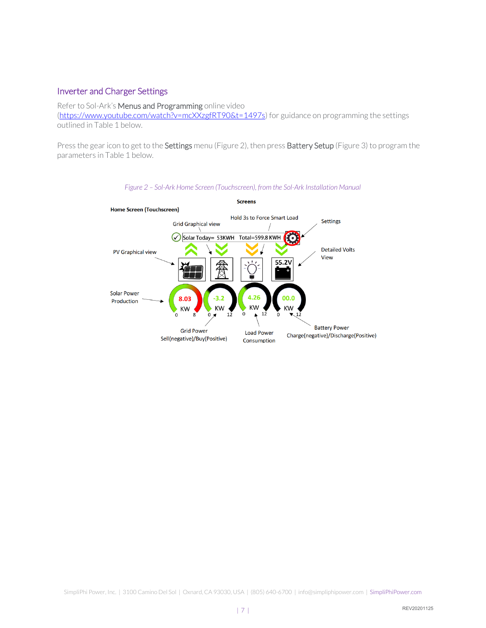#### <span id="page-7-0"></span>Inverter and Charger Settings

Refer to Sol-Ark's Menus and Programming online video [\(https://www.youtube.com/watch?v=mcXXzgfRT90&t=1497s\)](https://www.youtube.com/watch?v=mcXXzgfRT90&t=1497s) for guidance on programming the settings outlined in Table 1 below.

Press the gear icon to get to the Settings menu (Figure 2), then press Battery Setup (Figure 3) to program the parameters in Table 1 below.



*Figure 2 – Sol-Ark Home Screen (Touchscreen), from the Sol-Ark Installation Manual*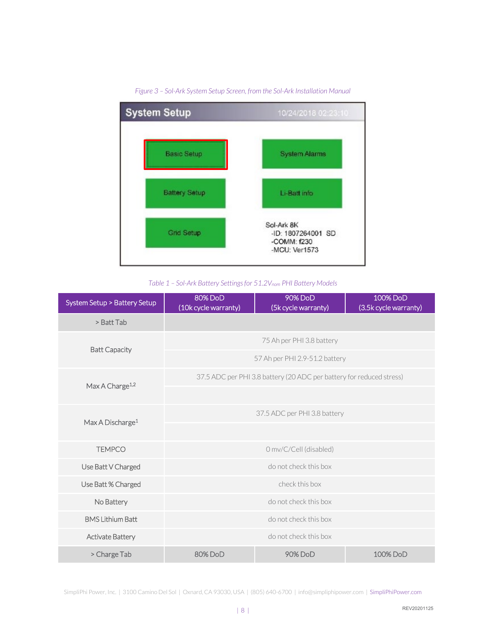

#### *Figure 3 – Sol-Ark System Setup Screen, from the Sol-Ark Installation Manual*

*Table 1 – Sol-Ark Battery Settings for 51.2Vnom PHI Battery Models*

| System Setup > Battery Setup | <b>80% DoD</b><br>(10k cycle warranty) | 90% DoD<br>(5k cycle warranty)                                       | 100% DoD<br>(3.5k cycle warranty) |  |  |
|------------------------------|----------------------------------------|----------------------------------------------------------------------|-----------------------------------|--|--|
| > Batt Tab                   |                                        |                                                                      |                                   |  |  |
|                              |                                        | 75 Ah per PHI 3.8 battery                                            |                                   |  |  |
| <b>Batt Capacity</b>         |                                        | 57 Ah per PHI 2.9-51.2 battery                                       |                                   |  |  |
| Max A Charge <sup>1,2</sup>  |                                        | 37.5 ADC per PHI 3.8 battery (20 ADC per battery for reduced stress) |                                   |  |  |
|                              |                                        |                                                                      |                                   |  |  |
| Max A Discharge <sup>1</sup> |                                        | 37.5 ADC per PHI 3.8 battery                                         |                                   |  |  |
|                              |                                        |                                                                      |                                   |  |  |
| <b>TEMPCO</b>                | 0 mv/C/Cell (disabled)                 |                                                                      |                                   |  |  |
| Use Batt V Charged           | do not check this box                  |                                                                      |                                   |  |  |
| Use Batt % Charged           | check this box                         |                                                                      |                                   |  |  |
| No Battery                   | do not check this box                  |                                                                      |                                   |  |  |
| <b>BMS Lithium Batt</b>      | do not check this box                  |                                                                      |                                   |  |  |
| <b>Activate Battery</b>      | do not check this box                  |                                                                      |                                   |  |  |
| > Charge Tab                 | 80%DoD                                 | 90% DoD                                                              | 100% DoD                          |  |  |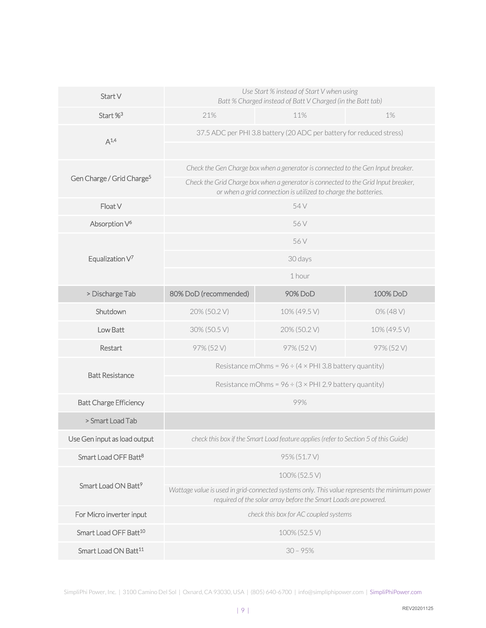| Start V                               | Use Start % instead of Start V when using<br>Batt % Charged instead of Batt V Charged (in the Batt tab)                                                                                             |                                                                                                                                                      |              |  |  |
|---------------------------------------|-----------------------------------------------------------------------------------------------------------------------------------------------------------------------------------------------------|------------------------------------------------------------------------------------------------------------------------------------------------------|--------------|--|--|
| Start % <sup>3</sup>                  | 21%                                                                                                                                                                                                 | 11%                                                                                                                                                  | 1%           |  |  |
| $A^{1,4}$                             | 37.5 ADC per PHI 3.8 battery (20 ADC per battery for reduced stress)                                                                                                                                |                                                                                                                                                      |              |  |  |
|                                       |                                                                                                                                                                                                     |                                                                                                                                                      |              |  |  |
|                                       |                                                                                                                                                                                                     | Check the Gen Charge box when a generator is connected to the Gen Input breaker.                                                                     |              |  |  |
| Gen Charge / Grid Charge <sup>5</sup> |                                                                                                                                                                                                     | Check the Grid Charge box when a generator is connected to the Grid Input breaker,<br>or when a grid connection is utilized to charge the batteries. |              |  |  |
| Float V                               |                                                                                                                                                                                                     | 54 V                                                                                                                                                 |              |  |  |
| Absorption V <sup>6</sup>             |                                                                                                                                                                                                     | 56 V                                                                                                                                                 |              |  |  |
|                                       |                                                                                                                                                                                                     | 56 V                                                                                                                                                 |              |  |  |
| Equalization $V^7$                    | 30 days<br>1 hour                                                                                                                                                                                   |                                                                                                                                                      |              |  |  |
|                                       |                                                                                                                                                                                                     |                                                                                                                                                      |              |  |  |
| > Discharge Tab                       | 80% DoD (recommended)                                                                                                                                                                               | 90% DoD                                                                                                                                              | 100% DoD     |  |  |
| Shutdown                              | 20% (50.2 V)                                                                                                                                                                                        | 10% (49.5 V)                                                                                                                                         | 0% (48 V)    |  |  |
| Low Batt                              | 30% (50.5 V)                                                                                                                                                                                        | 20% (50.2 V)                                                                                                                                         | 10% (49.5 V) |  |  |
| Restart                               | 97% (52V)                                                                                                                                                                                           | 97% (52V)                                                                                                                                            | 97% (52V)    |  |  |
| <b>Batt Resistance</b>                | Resistance mOhms = $96 \div (4 \times PH$ 3.8 battery quantity)                                                                                                                                     |                                                                                                                                                      |              |  |  |
|                                       |                                                                                                                                                                                                     | Resistance mOhms = $96 \div (3 \times PHI 2.9$ battery quantity)                                                                                     |              |  |  |
| <b>Batt Charge Efficiency</b>         |                                                                                                                                                                                                     | 99%                                                                                                                                                  |              |  |  |
| > Smart Load Tab                      |                                                                                                                                                                                                     |                                                                                                                                                      |              |  |  |
| Use Gen input as load output          |                                                                                                                                                                                                     | check this box if the Smart Load feature applies (refer to Section 5 of this Guide)                                                                  |              |  |  |
| Smart Load OFF Batt <sup>8</sup>      | 95% (51.7 V)                                                                                                                                                                                        |                                                                                                                                                      |              |  |  |
|                                       | 100% (52.5 V)                                                                                                                                                                                       |                                                                                                                                                      |              |  |  |
|                                       | Smart Load ON Batt <sup>9</sup><br>Wattage value is used in grid-connected systems only. This value represents the minimum power<br>required of the solar array before the Smart Loads are powered. |                                                                                                                                                      |              |  |  |
| For Micro inverter input              | check this box for AC coupled systems                                                                                                                                                               |                                                                                                                                                      |              |  |  |
| Smart Load OFF Batt <sup>10</sup>     |                                                                                                                                                                                                     | 100% (52.5 V)                                                                                                                                        |              |  |  |
| Smart Load ON Batt <sup>11</sup>      | $30 - 95%$                                                                                                                                                                                          |                                                                                                                                                      |              |  |  |

SimpliPhi Power, Inc. | 3100 Camino Del Sol | Oxnard, CA 93030, USA | (805) 640-6700 | info@simpliphipower.com | SimpliPhiPower.com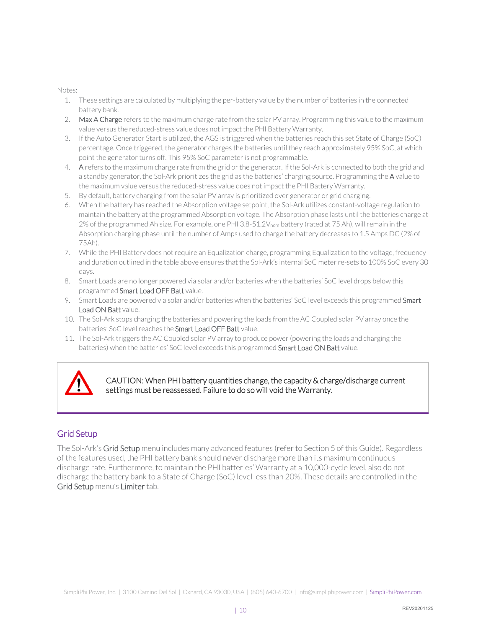Notes:

- 1. These settings are calculated by multiplying the per-battery value by the number of batteries in the connected battery bank.
- 2. Max A Charge refers to the maximum charge rate from the solar PV array. Programming this value to the maximum value versus the reduced-stress value does not impact the PHI Battery Warranty.
- 3. If the Auto Generator Start is utilized, the AGS is triggered when the batteries reach this set State of Charge (SoC) percentage. Once triggered, the generator charges the batteries until they reach approximately 95% SoC, at which point the generator turns off. This 95% SoC parameter is not programmable.
- 4. A refers to the maximum charge rate from the grid or the generator. If the Sol-Ark is connected to both the grid and a standby generator, the Sol-Ark prioritizes the grid as the batteries' charging source. Programming the A value to the maximum value versus the reduced-stress value does not impact the PHI Battery Warranty.
- 5. By default, battery charging from the solar PV array is prioritized over generator or grid charging.
- 6. When the battery has reached the Absorption voltage setpoint, the Sol-Ark utilizes constant-voltage regulation to maintain the battery at the programmed Absorption voltage. The Absorption phase lasts until the batteries charge at 2% of the programmed Ah size. For example, one PHI 3.8-51.2V<sub>nom</sub> battery (rated at 75 Ah), will remain in the Absorption charging phase until the number of Amps used to charge the battery decreases to 1.5 Amps DC (2% of 75Ah).
- 7. While the PHI Battery does not require an Equalization charge, programming Equalization to the voltage, frequency and duration outlined in the table above ensures that the Sol-Ark's internal SoC meter re-sets to 100% SoC every 30 days.
- 8. Smart Loads are no longer powered via solar and/or batteries when the batteries' SoC level drops below this programmed Smart Load OFF Batt value.
- 9. Smart Loads are powered via solar and/or batteries when the batteries' SoC level exceeds this programmed Smart Load ON Batt value.
- 10. The Sol-Ark stops charging the batteries and powering the loads from the AC Coupled solar PV array once the batteries' SoC level reaches the Smart Load OFF Batt value.
- 11. The Sol-Ark triggers the AC Coupled solar PV array to produce power (powering the loads and charging the batteries) when the batteries' SoC level exceeds this programmed **Smart Load ON Batt** value.



CAUTION: When PHI battery quantities change, the capacity & charge/discharge current settings must be reassessed. Failure to do so will void the Warranty.

#### <span id="page-10-0"></span>Grid Setup

The Sol-Ark's Grid Setup menu includes many advanced features (refer to Section 5 of this Guide). Regardless of the features used, the PHI battery bank should never discharge more than its maximum continuous discharge rate. Furthermore, to maintain the PHI batteries' Warranty at a 10,000-cycle level, also do not discharge the battery bank to a State of Charge (SoC) level less than 20%. These details are controlled in the Grid Setup menu's Limiter tab.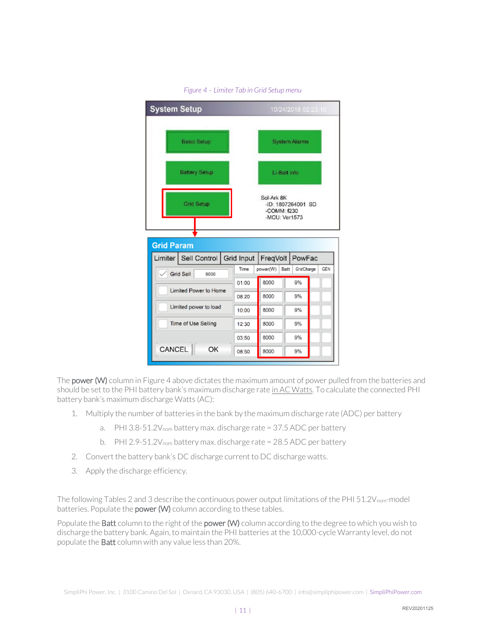

*Figure 4 – Limiter Tab in Grid Setup menu*

The **power (W)** column in Figure 4 above dictates the maximum amount of power pulled from the batteries and should be set to the PHI battery bank's maximum discharge rate in AC Watts. To calculate the connected PHI battery bank's maximum discharge Watts (AC):

- 1. Multiply the number of batteries in the bank by the maximum discharge rate (ADC) per battery
	- a. PHI 3.8-51.2V<sub>nom</sub> battery max. discharge rate = 37.5 ADC per battery
	- b. PHI 2.9-51.2V<sub>nom</sub> battery max. discharge rate = 28.5 ADC per battery
- 2. Convert the battery bank's DC discharge current to DC discharge watts.
- 3. Apply the discharge efficiency.

The following Tables 2 and 3 describe the continuous power output limitations of the PHI 51.2V<sub>nom</sub>-model batteries. Populate the **power (W)** column according to these tables.

Populate the Batt column to the right of the power (W) column according to the degree to which you wish to discharge the battery bank. Again, to maintain the PHI batteries at the 10,000-cycle Warranty level, do not populate the Batt column with any value less than 20%.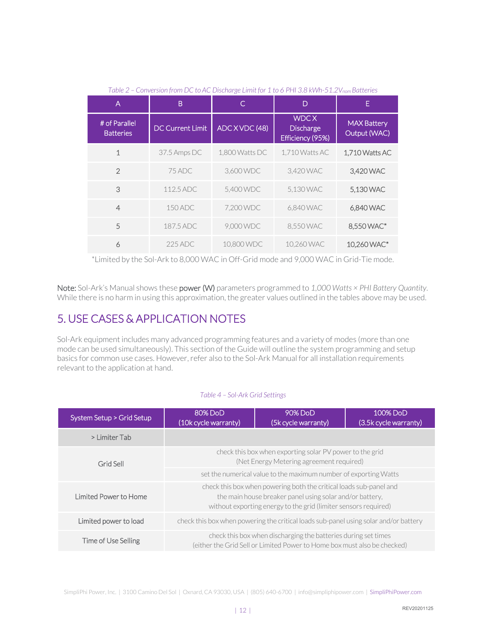| $1$ MDIC $\angle$                 | CONVERSION point DC to AC Discharge Entity of L to OTTH 0.0 KVVII ULL VIIIII DUTCHES |                |                                                     |                                    |
|-----------------------------------|--------------------------------------------------------------------------------------|----------------|-----------------------------------------------------|------------------------------------|
| A                                 | B                                                                                    | C              | D                                                   | E.                                 |
| # of Parallel<br><b>Batteries</b> | <b>DC Current Limit</b>                                                              | ADC X VDC (48) | <b>WDCX</b><br><b>Discharge</b><br>Efficiency (95%) | <b>MAX Battery</b><br>Output (WAC) |
| $\mathbf{1}$                      | 37.5 Amps DC                                                                         | 1,800 Watts DC | 1,710 Watts AC                                      | 1,710 Watts AC                     |
| $\mathfrak{D}$                    | 75 ADC                                                                               | 3.600 WDC      | 3.420 WAC                                           | 3.420 WAC                          |
| 3                                 | 112.5 ADC                                                                            | 5,400 WDC      | 5,130 WAC                                           | 5,130 WAC                          |
| $\overline{4}$                    | 150 ADC                                                                              | 7.200 WDC      | 6,840 WAC                                           | 6,840 WAC                          |
| 5                                 | 187.5 ADC                                                                            | 9,000 WDC      | 8,550 WAC                                           | 8,550 WAC*                         |
| 6                                 | 225 ADC                                                                              | 10,800 WDC     | 10.260 WAC                                          | 10,260 WAC*                        |

*Table 2 – Conversion from DC to AC Discharge Limit for 1 to 6 PHI 3.8 kWh-51.2Vnom Batteries*

\*Limited by the Sol-Ark to 8,000 WAC in Off-Grid mode and 9,000 WAC in Grid-Tie mode.

Note: Sol-Ark's Manual shows these power (W) parameters programmed to *1,000 Watts × PHI Battery Quantity*. While there is no harm in using this approximation, the greater values outlined in the tables above may be used.

### <span id="page-12-0"></span>5. USE CASES & APPLICATION NOTES

Sol-Ark equipment includes many advanced programming features and a variety of modes (more than one mode can be used simultaneously). This section of the Guide will outline the system programming and setup basics for common use cases. However, refer also to the Sol-Ark Manual for all installation requirements relevant to the application at hand.

#### *Table 4 – Sol-Ark Grid Settings*

| System Setup > Grid Setup | 80% DoD<br>90% DoD<br>(10k cycle warranty)<br>(5k cycle warranty)                                                                                                                                 |  | 100% DoD<br>(3.5k cycle warranty) |  |  |
|---------------------------|---------------------------------------------------------------------------------------------------------------------------------------------------------------------------------------------------|--|-----------------------------------|--|--|
| > Limiter Tab             |                                                                                                                                                                                                   |  |                                   |  |  |
| Grid Sell                 | check this box when exporting solar PV power to the grid<br>(Net Energy Metering agreement required)                                                                                              |  |                                   |  |  |
|                           | set the numerical value to the maximum number of exporting Watts                                                                                                                                  |  |                                   |  |  |
| Limited Power to Home     | check this box when powering both the critical loads sub-panel and<br>the main house breaker panel using solar and/or battery,<br>without exporting energy to the grid (limiter sensors required) |  |                                   |  |  |
| Limited power to load     | check this box when powering the critical loads sub-panel using solar and/or battery                                                                                                              |  |                                   |  |  |
| Time of Use Selling       | check this box when discharging the batteries during set times<br>(either the Grid Sell or Limited Power to Home box must also be checked)                                                        |  |                                   |  |  |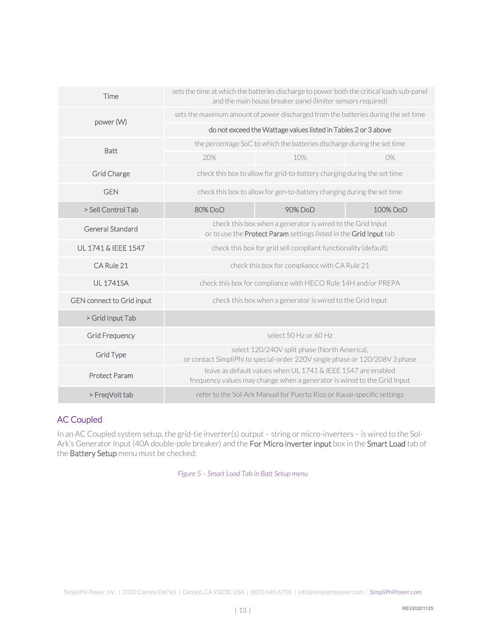| Time                      | sets the time at which the batteries discharge to power both the critical loads sub-panel<br>and the main house breaker panel (limiter sensors required) |                                                                                                                                         |          |  |  |
|---------------------------|----------------------------------------------------------------------------------------------------------------------------------------------------------|-----------------------------------------------------------------------------------------------------------------------------------------|----------|--|--|
| power (W)                 |                                                                                                                                                          | sets the maximum amount of power discharged from the batteries during the set time                                                      |          |  |  |
|                           |                                                                                                                                                          | do not exceed the Wattage values listed in Tables 2 or 3 above                                                                          |          |  |  |
| <b>Batt</b>               |                                                                                                                                                          | the percentage SoC to which the batteries discharge during the set time                                                                 |          |  |  |
|                           | 20%                                                                                                                                                      | 10%                                                                                                                                     | 0%       |  |  |
| Grid Charge               |                                                                                                                                                          | check this box to allow for grid-to-battery charging during the set time                                                                |          |  |  |
| <b>GEN</b>                |                                                                                                                                                          | check this box to allow for gen-to-battery charging during the set time                                                                 |          |  |  |
| > Sell Control Tab        | 80%DoD                                                                                                                                                   | 90% DoD                                                                                                                                 | 100% DoD |  |  |
| <b>General Standard</b>   | check this box when a generator is wired to the Grid Input<br>or to use the Protect Param settings listed in the Grid Input tab                          |                                                                                                                                         |          |  |  |
| UL 1741 & IEEE 1547       | check this box for grid sell compliant functionality (default)                                                                                           |                                                                                                                                         |          |  |  |
| CA Rule 21                | check this box for compliance with CA Rule 21                                                                                                            |                                                                                                                                         |          |  |  |
| <b>UL 1741SA</b>          | check this box for compliance with HECO Rule 14H and/or PREPA                                                                                            |                                                                                                                                         |          |  |  |
| GEN connect to Grid input |                                                                                                                                                          | check this box when a generator is wired to the Grid Input                                                                              |          |  |  |
| > Grid Input Tab          |                                                                                                                                                          |                                                                                                                                         |          |  |  |
| Grid Frequency            |                                                                                                                                                          | select 50 Hz or 60 Hz                                                                                                                   |          |  |  |
| Grid Type                 | select 120/240V split phase (North America),<br>or contact SimpliPhi to special-order 220V single phase or 120/208V 3 phase                              |                                                                                                                                         |          |  |  |
| <b>Protect Param</b>      |                                                                                                                                                          | leave as default values when UL 1741 & IEEE 1547 are enabled<br>frequency values may change when a generator is wired to the Grid Input |          |  |  |
| > FreqVolt tab            | refer to the Sol-Ark Manual for Puerto Rico or Kauai-specific settings                                                                                   |                                                                                                                                         |          |  |  |

#### <span id="page-13-0"></span>AC Coupled

In an AC Coupled system setup, the grid-tie inverter(s) output – string or micro-inverters – is wired to the Sol-Ark's Generator Input (40A double-pole breaker) and the For Micro inverter input box in the Smart Load tab of the Battery Setup menu must be checked:

*Figure 5 – Smart Load Tab in Batt Setup menu*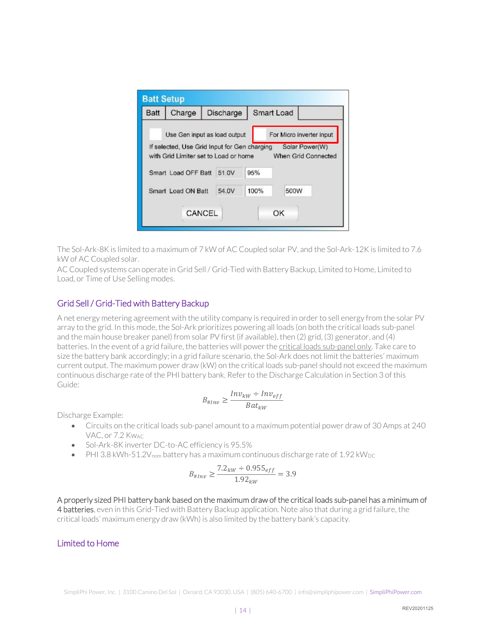| <b>Batt Setup</b> |                                                                                                                       |           |      |                                                                   |  |
|-------------------|-----------------------------------------------------------------------------------------------------------------------|-----------|------|-------------------------------------------------------------------|--|
| <b>Batt</b>       | Charge                                                                                                                | Discharge |      | Smart Load                                                        |  |
|                   | Use Gen input as load output<br>If selected, Use Grid Input for Gen charging<br>with Grid Limiter set to Load or home |           |      | For Micro inverter input<br>Solar Power(W)<br>When Grid Connected |  |
|                   | Smart Load OFF Batt                                                                                                   | 51.0V     | 95%  |                                                                   |  |
|                   | Smart Load ON Batt                                                                                                    | 54.0V     | 100% | 500W                                                              |  |
|                   |                                                                                                                       | CANCEL    |      | OK                                                                |  |

The Sol-Ark-8K is limited to a maximum of 7 kW of AC Coupled solar PV, and the Sol-Ark-12K is limited to 7.6 kW of AC Coupled solar.

AC Coupled systems can operate in Grid Sell / Grid-Tied with Battery Backup, Limited to Home, Limited to Load, or Time of Use Selling modes.

#### <span id="page-14-0"></span>Grid Sell / Grid-Tied with Battery Backup

A net energy metering agreement with the utility company is required in order to sell energy from the solar PV array to the grid. In this mode, the Sol-Ark prioritizes powering all loads (on both the critical loads sub-panel and the main house breaker panel) from solar PV first (if available), then (2) grid, (3) generator, and (4) batteries. In the event of a grid failure, the batteries will power the critical loads sub-panel only. Take care to size the battery bank accordingly; in a grid failure scenario, the Sol-Ark does not limit the batteries' maximum current output. The maximum power draw (kW) on the critical loads sub-panel should not exceed the maximum continuous discharge rate of the PHI battery bank. Refer to the Discharge Calculation in Section 3 of this Guide:

$$
B_{\#Inv} \ge \frac{Inv_{kw} \div Inv_{eff}}{Bat_{kw}}
$$

Discharge Example:

- Circuits on the critical loads sub-panel amount to a maximum potential power draw of 30 Amps at 240 VAC, or 7.2 KwAC
- Sol-Ark-8K inverter DC-to-AC efficiency is 95.5%
- PHI 3.8 kWh-51.2 $V_{\text{nom}}$  battery has a maximum continuous discharge rate of 1.92 kW<sub>DC</sub>

$$
B_{\#Inv} \ge \frac{7.2_{kw} \div 0.955_{eff}}{1.92_{kw}} = 3.9
$$

A properly sized PHI battery bank based on the maximum draw of the critical loads sub-panel has a minimum of 4 batteries, even in this Grid-Tied with Battery Backup application. Note also that during a grid failure, the critical loads' maximum energy draw (kWh) is also limited by the battery bank's capacity.

#### <span id="page-14-1"></span>Limited to Home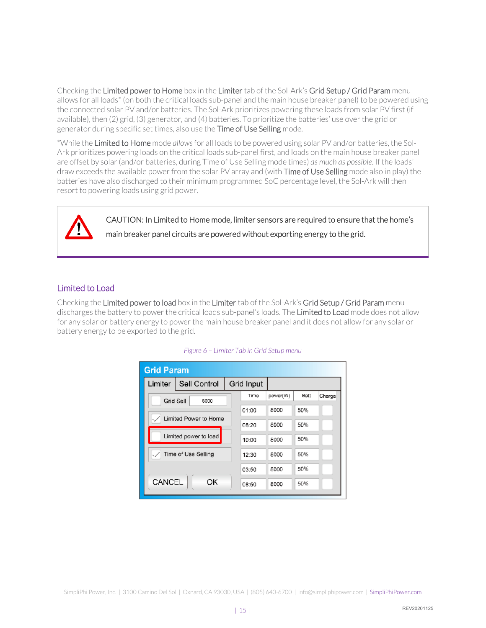Checking the Limited power to Home box in the Limiter tab of the Sol-Ark's Grid Setup / Grid Param menu allows for all loads\* (on both the critical loads sub-panel and the main house breaker panel) to be powered using the connected solar PV and/or batteries. The Sol-Ark prioritizes powering these loads from solar PV first (if available), then (2) grid, (3) generator, and (4) batteries. To prioritize the batteries' use over the grid or generator during specific set times, also use the Time of Use Selling mode.

\*While the Limited to Home mode *allows* for all loads to be powered using solar PV and/or batteries, the Sol-Ark prioritizes powering loads on the critical loads sub-panel first, and loads on the main house breaker panel are offset by solar (and/or batteries, during Time of Use Selling mode times) *as much as possible*. If the loads' draw exceeds the available power from the solar PV array and (with Time of Use Selling mode also in play) the batteries have also discharged to their minimum programmed SoC percentage level, the Sol-Ark will then resort to powering loads using grid power.

> CAUTION: In Limited to Home mode, limiter sensors are required to ensure that the home's main breaker panel circuits are powered without exporting energy to the grid.

#### <span id="page-15-0"></span>Limited to Load

Checking the Limited power to load box in the Limiter tab of the Sol-Ark's Grid Setup / Grid Param menu discharges the battery to power the critical loads sub-panel's loads. The Limited to Load mode does not allow for any solar or battery energy to power the main house breaker panel and it does not allow for any solar or battery energy to be exported to the grid.

<span id="page-15-1"></span>

| <b>Grid Param</b>      |  |            |          |      |        |  |  |
|------------------------|--|------------|----------|------|--------|--|--|
| Limiter   Sell Control |  | Grid Input |          |      |        |  |  |
| Grid Sell<br>8000      |  | Time       | power(W) | Batt | Charge |  |  |
|                        |  | 01:00      | 8000     | 50%  |        |  |  |
| Limited Power to Home  |  | 08:20      | 8000     | 50%  |        |  |  |
| Limited power to load  |  | 10:00      | 8000     | 50%  |        |  |  |
| Time of Use Selling    |  | 12:30      | 8000     | 50%  |        |  |  |
|                        |  | 03:50      | 8000     | 50%  |        |  |  |
| CANCEL<br>OK           |  | 08:50      | 8000     | 50%  |        |  |  |

#### *Figure 6 – Limiter Tab in Grid Setup menu*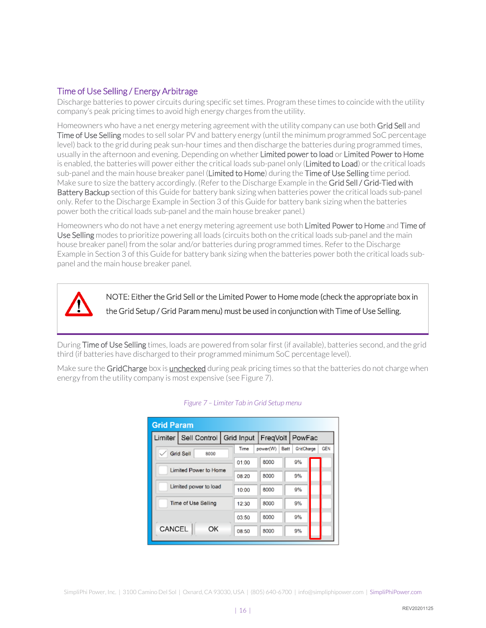#### Time of Use Selling / Energy Arbitrage

Discharge batteries to power circuits during specific set times. Program these times to coincide with the utility company's peak pricing times to avoid high energy charges from the utility.

Homeowners who have a net energy metering agreement with the utility company can use both Grid Sell and Time of Use Selling modes to sell solar PV and battery energy (until the minimum programmed SoC percentage level) back to the grid during peak sun-hour times and then discharge the batteries during programmed times, usually in the afternoon and evening. Depending on whether Limited power to load or Limited Power to Home is enabled, the batteries will power either the critical loads sub-panel only (Limited to Load) or the critical loads sub-panel and the main house breaker panel (Limited to Home) during the Time of Use Selling time period. Make sure to size the battery accordingly. (Refer to the Discharge Example in the Grid Sell / Grid-Tied with Battery Backup section of this Guide for battery bank sizing when batteries power the critical loads sub-panel only. Refer to the Discharge Example in Section 3 of this Guide for battery bank sizing when the batteries power both the critical loads sub-panel and the main house breaker panel.)

Homeowners who do not have a net energy metering agreement use both Limited Power to Home and Time of Use Selling modes to prioritize powering all loads (circuits both on the critical loads sub-panel and the main house breaker panel) from the solar and/or batteries during programmed times. Refer to the Discharge Example in Section 3 of this Guide for battery bank sizing when the batteries power both the critical loads subpanel and the main house breaker panel.

NOTE: Either the Grid Sell or the Limited Power to Home mode (check the appropriate box in the Grid Setup / Grid Param menu) must be used in conjunction with Time of Use Selling.

During Time of Use Selling times, loads are powered from solar first (if available), batteries second, and the grid third (if batteries have discharged to their programmed minimum SoC percentage level).

Make sure the GridCharge box is unchecked during peak pricing times so that the batteries do not charge when energy from the utility company is most expensive (see Figure 7).

<span id="page-16-0"></span>

| <b>Grid Param</b>      |  |       |          |      |                                |            |
|------------------------|--|-------|----------|------|--------------------------------|------------|
| Limiter   Sell Control |  |       |          |      | Grid Input   FreqVolt   PowFac |            |
| Grid Sell<br>8000      |  | Time  | power(W) | Batt | GridCharge                     | <b>GEN</b> |
|                        |  | 01:00 | 8000     |      | 9%                             |            |
| Limited Power to Home  |  | 08:20 | 8000     |      | 9%                             |            |
| Limited power to load  |  | 10:00 | 8000     |      | 9%                             |            |
| Time of Use Selling    |  | 12:30 | 8000     |      | 9%                             |            |
|                        |  | 03:50 | 8000     |      | 9%                             |            |
| CANCEL<br>OK           |  | 08:50 | 8000     |      | 9%                             |            |

#### *Figure 7 – Limiter Tab in Grid Setup menu*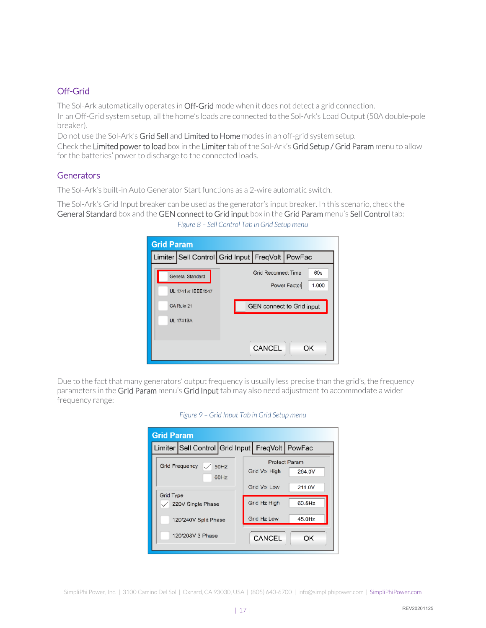#### Off-Grid

The Sol-Ark automatically operates in Off-Grid mode when it does not detect a grid connection. In an Off-Grid system setup, all the home's loads are connected to the Sol-Ark's Load Output (50A double-pole breaker).

Do not use the Sol-Ark's Grid Sell and Limited to Home modes in an off-grid system setup.

Check the Limited power to load box in the Limiter tab of the Sol-Ark's Grid Setup / Grid Param menu to allow for the batteries' power to discharge to the connected loads.

#### <span id="page-17-0"></span>**Generators**

The Sol-Ark's built-in Auto Generator Start functions as a 2-wire automatic switch.

The Sol-Ark's Grid Input breaker can be used as the generator's input breaker. In this scenario, check the General Standard box and the GEN connect to Grid input box in the Grid Param menu's Sell Control tab: *Figure 8 – Sell Control Tab in Grid Setup menu*

| <b>Grid Param</b>  |                                                 |
|--------------------|-------------------------------------------------|
|                    | Limiter Sell Control Grid Input FreqVolt PowFac |
| General Standard   | 60s<br><b>Grid Reconnect Time</b>               |
| UL 1741 & IEEE1547 | Power Factor<br>1.000                           |
| CA Rule 21         | GEN connect to Grid input                       |
| <b>UL 1741SA</b>   |                                                 |
|                    |                                                 |
|                    | CANCEL<br>OK                                    |

Due to the fact that many generators' output frequency is usually less precise than the grid's, the frequency parameters in the Grid Param menu's Grid Input tab may also need adjustment to accommodate a wider frequency range:

| <b>Grid Param</b> |                                                 |              |               |                                |
|-------------------|-------------------------------------------------|--------------|---------------|--------------------------------|
|                   | Limiter Sell Control Grid Input FreqVolt PowFac |              |               |                                |
|                   | <b>Grid Frequency</b>                           | 50Hz<br>60Hz | Grid Vol High | <b>Protect Param</b><br>264.0V |
|                   |                                                 |              | Grid Vol Low  | 211.0V                         |
| <b>Grid Type</b>  | 220V Single Phase                               |              | Grid Hz High  | $60.5$ Hz                      |
|                   | 120/240V Split Phase                            |              | Grid Hz Low   | $45.0$ Hz                      |
|                   | 120/208V 3 Phase                                |              | CANCEL        | OK                             |

*Figure 9 – Grid Input Tab in Grid Setup menu*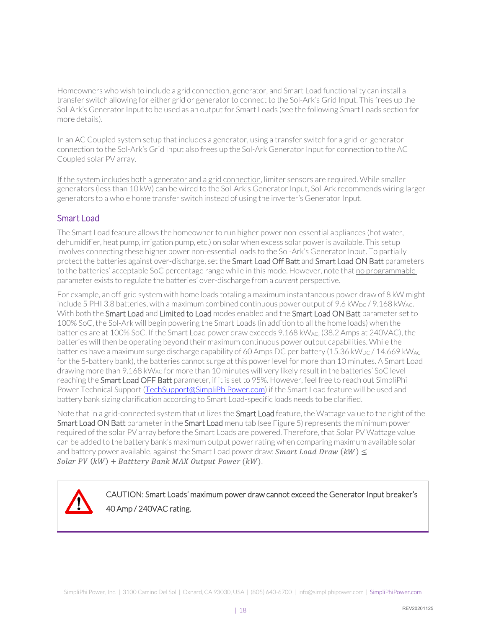Homeowners who wish to include a grid connection, generator, and Smart Load functionality can install a transfer switch allowing for either grid or generator to connect to the Sol-Ark's Grid Input. This frees up the Sol-Ark's Generator Input to be used as an output for Smart Loads (see the following Smart Loads section for more details).

In an AC Coupled system setup that includes a generator, using a transfer switch for a grid-or-generator connection to the Sol-Ark's Grid Input also frees up the Sol-Ark Generator Input for connection to the AC Coupled solar PV array.

If the system includes both a generator and a grid connection, limiter sensors are required. While smaller generators (less than 10 kW) can be wired to the Sol-Ark's Generator Input, Sol-Ark recommends wiring larger generators to a whole home transfer switch instead of using the inverter's Generator Input.

#### <span id="page-18-0"></span>Smart Load

The Smart Load feature allows the homeowner to run higher power non-essential appliances (hot water, dehumidifier, heat pump, irrigation pump, etc.) on solar when excess solar power is available. This setup involves connecting these higher power non-essential loads to the Sol-Ark's Generator Input. To partially protect the batteries against over-discharge, set the Smart Load Off Batt and Smart Load ON Batt parameters to the batteries' acceptable SoC percentage range while in this mode. However, note that no programmable parameter exists to regulate the batteries' over-discharge from a *current* perspective.

For example, an off-grid system with home loads totaling a maximum instantaneous power draw of 8 kW might include 5 PHI 3.8 batteries, with a maximum combined continuous power output of 9.6 kW<sub>DC</sub> / 9.168 kW<sub>AC</sub>. With both the Smart Load and Limited to Load modes enabled and the Smart Load ON Batt parameter set to 100% SoC, the Sol-Ark will begin powering the Smart Loads (in addition to all the home loads) when the batteries are at 100% SoC. If the Smart Load power draw exceeds 9.168 kWAC, (38.2 Amps at 240VAC), the batteries will then be operating beyond their maximum continuous power output capabilities. While the batteries have a maximum surge discharge capability of 60 Amps DC per battery (15.36 kW<sub>DC</sub> / 14.669 kW<sub>AC</sub> for the 5-battery bank), the batteries cannot surge at this power level for more than 10 minutes. A Smart Load drawing more than 9.168 kWAC for more than 10 minutes will very likely result in the batteries' SoC level reaching the Smart Load OFF Batt parameter, if it is set to 95%. However, feel free to reach out SimpliPhi Power Technical Support [\(TechSupport@SimpliPhiPower.com\)](mailto:TechSupport@SimpliPhiPower.com) if the Smart Load feature will be used and battery bank sizing clarification according to Smart Load-specific loads needs to be clarified.

Note that in a grid-connected system that utilizes the Smart Load feature, the Wattage value to the right of the Smart Load ON Batt parameter in the Smart Load menu tab (see Figure 5) represents the minimum power required of the solar PV array before the Smart Loads are powered. Therefore, that Solar PV Wattage value can be added to the battery bank's maximum output power rating when comparing maximum available solar and battery power available, against the Smart Load power draw: **Smart Load Draw (kW)**  $\leq$ Solar PV  $(kW)$  + Batttery Bank MAX Output Power  $(kW)$ .

CAUTION: Smart Loads' maximum power draw cannot exceed the Generator Input breaker's 40 Amp / 240VAC rating.